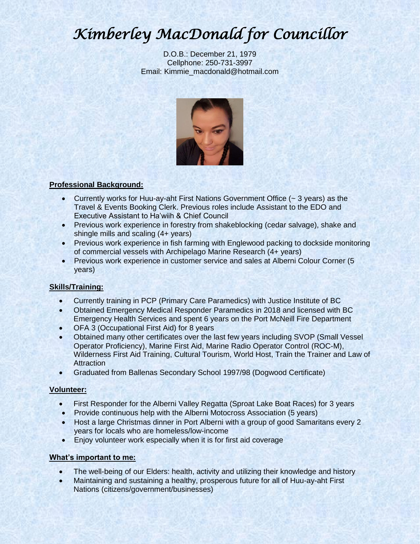# *Kimberley MacDonald for Councillor*

D.O.B.: December 21, 1979 Cellphone: 250-731-3997 Email: Kimmie\_macdonald@hotmail.com



# **Professional Background:**

- Currently works for Huu-ay-aht First Nations Government Office  $(-3 \text{ years})$  as the Travel & Events Booking Clerk. Previous roles include Assistant to the EDO and Executive Assistant to Ha'wiih & Chief Council
- Previous work experience in forestry from shakeblocking (cedar salvage), shake and shingle mills and scaling (4+ years)
- Previous work experience in fish farming with Englewood packing to dockside monitoring of commercial vessels with Archipelago Marine Research (4+ years)
- Previous work experience in customer service and sales at Alberni Colour Corner (5 years)

## **Skills/Training:**

- Currently training in PCP (Primary Care Paramedics) with Justice Institute of BC
- Obtained Emergency Medical Responder Paramedics in 2018 and licensed with BC Emergency Health Services and spent 6 years on the Port McNeill Fire Department
- OFA 3 (Occupational First Aid) for 8 years
- Obtained many other certificates over the last few years including SVOP (Small Vessel Operator Proficiency), Marine First Aid, Marine Radio Operator Control (ROC-M), Wilderness First Aid Training, Cultural Tourism, World Host, Train the Trainer and Law of **Attraction**
- Graduated from Ballenas Secondary School 1997/98 (Dogwood Certificate)

## **Volunteer:**

- First Responder for the Alberni Valley Regatta (Sproat Lake Boat Races) for 3 years
- Provide continuous help with the Alberni Motocross Association (5 years)
- Host a large Christmas dinner in Port Alberni with a group of good Samaritans every 2 years for locals who are homeless/low-income
- Enjoy volunteer work especially when it is for first aid coverage

## **What's important to me:**

- The well-being of our Elders: health, activity and utilizing their knowledge and history
- Maintaining and sustaining a healthy, prosperous future for all of Huu-ay-aht First Nations (citizens/government/businesses)